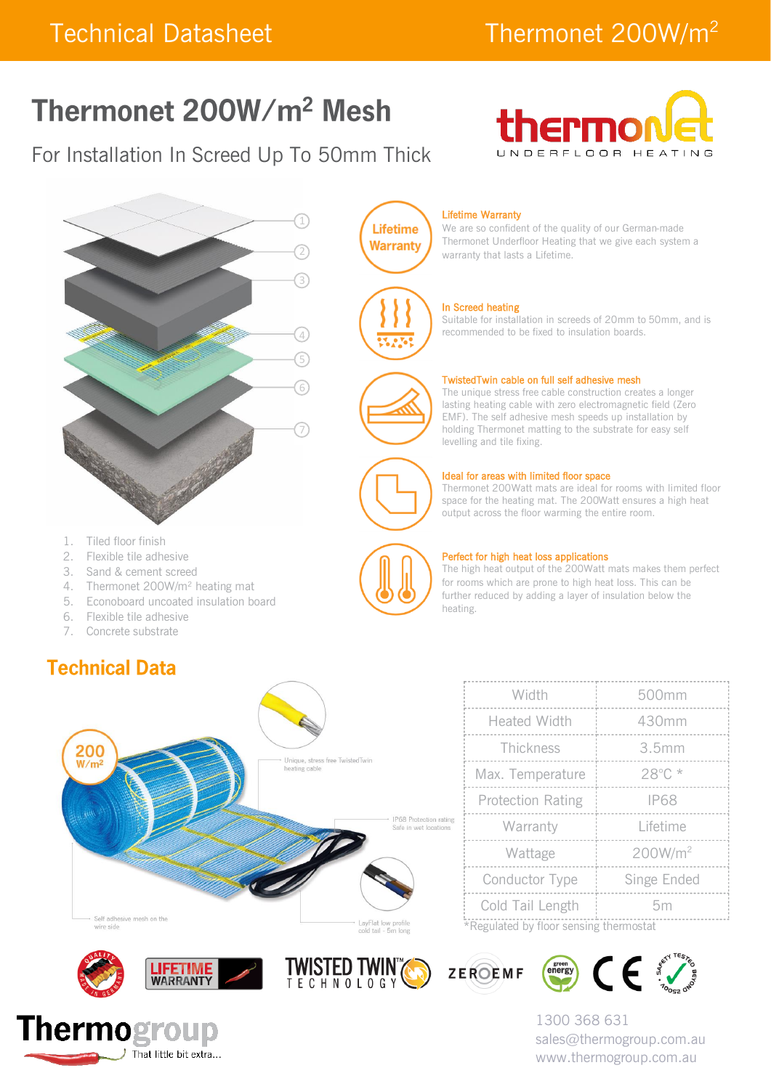# Thermonet 200W/m<sup>2</sup> Mesh

## For Installation In Screed Up To 50mm Thick





- 
- 2. Flexible tile adhesive
- 3. Sand & cement screed
- 4. Thermonet 200W/m<sup>2</sup> heating mat
- 5. Econoboard uncoated insulation board
- 6. Flexible tile adhesive
- 7. Concrete substrate

### **Technical Data**



|  | Width                                  | 500mm               |  |  |
|--|----------------------------------------|---------------------|--|--|
|  | <b>Heated Width</b>                    | 430mm               |  |  |
|  | Thickness                              | 3.5mm               |  |  |
|  | Max. Temperature                       | 28°C*               |  |  |
|  | <b>Protection Rating</b>               | <b>IP68</b>         |  |  |
|  | Warranty                               | Lifetime            |  |  |
|  | Wattage                                | 200W/m <sup>2</sup> |  |  |
|  | Conductor Type                         | Singe Ended         |  |  |
|  | Cold Tail Length                       | 5m                  |  |  |
|  | *Requisted by floor consing thermostat |                     |  |  |

Regulated by floor sensing thermo











1300 368 631 sales@thermogroup.com.au www.thermogroup.com.au

We are so confident of the quality of our German-made Thermonet Underfloor Heating that we give each system a warranty that lasts a Lifetime.

Suitable for installation in screeds of 20mm to 50mm, and is recommended to be fixed to insulation boards.

#### TwistedTwin cable on full self adhesive mesh

The unique stress free cable construction creates a longer lasting heating cable with zero electromagnetic field (Zero EMF). The self adhesive mesh speeds up installation by holding Thermonet matting to the substrate for easy self levelling and tile fixing.

#### Ideal for areas with limited floor space

Thermonet 200Watt mats are ideal for rooms with limited floor space for the heating mat. The 200Watt ensures a high heat output across the floor warming the entire room.



#### Perfect for high heat loss applications

The high heat output of the 200Watt mats makes them perfect for rooms which are prone to high heat loss. This can be further reduced by adding a layer of insulation below the heating.